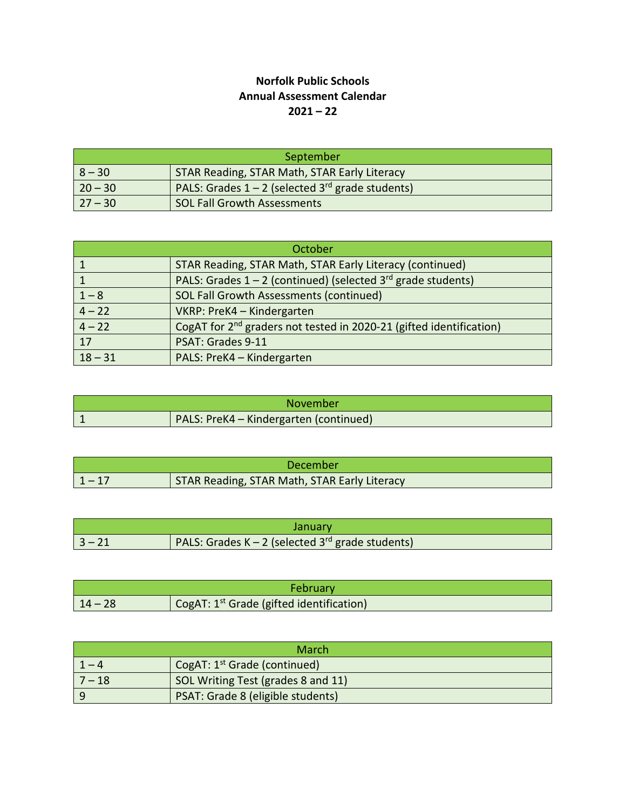## **Norfolk Public Schools Annual Assessment Calendar 2021 – 22**

| September |                                                                |
|-----------|----------------------------------------------------------------|
| $8 - 30$  | STAR Reading, STAR Math, STAR Early Literacy                   |
| $20 - 30$ | PALS: Grades $1 - 2$ (selected 3 <sup>rd</sup> grade students) |
| $27 - 30$ | <b>SOL Fall Growth Assessments</b>                             |

| October          |                                                                                 |
|------------------|---------------------------------------------------------------------------------|
|                  | STAR Reading, STAR Math, STAR Early Literacy (continued)                        |
|                  | PALS: Grades $1 - 2$ (continued) (selected $3^{rd}$ grade students)             |
| $1 - 8$          | SOL Fall Growth Assessments (continued)                                         |
| $\frac{4-22}{ }$ | VKRP: PreK4 - Kindergarten                                                      |
| $4 - 22$         | CogAT for 2 <sup>nd</sup> graders not tested in 2020-21 (gifted identification) |
| 17               | PSAT: Grades 9-11                                                               |
| $18 - 31$        | PALS: PreK4 - Kindergarten                                                      |

| November |                                               |
|----------|-----------------------------------------------|
|          | <b>PALS: PreK4 - Kindergarten (continued)</b> |

| December |                                              |
|----------|----------------------------------------------|
| $1 - 17$ | STAR Reading, STAR Math, STAR Early Literacy |

| January. |                                                              |
|----------|--------------------------------------------------------------|
| 3 – 21   | PALS: Grades K – 2 (selected 3 <sup>rd</sup> grade students) |

| <b>February</b> |                                                      |
|-----------------|------------------------------------------------------|
| $14 - 28$       | CogAT: 1 <sup>st</sup> Grade (gifted identification) |

| March    |                                                     |
|----------|-----------------------------------------------------|
| $1-4$    | $\sqrt{2}$ CogAT: 1 <sup>st</sup> Grade (continued) |
| $7 - 18$ | SOL Writing Test (grades 8 and 11)                  |
| - q      | PSAT: Grade 8 (eligible students)                   |